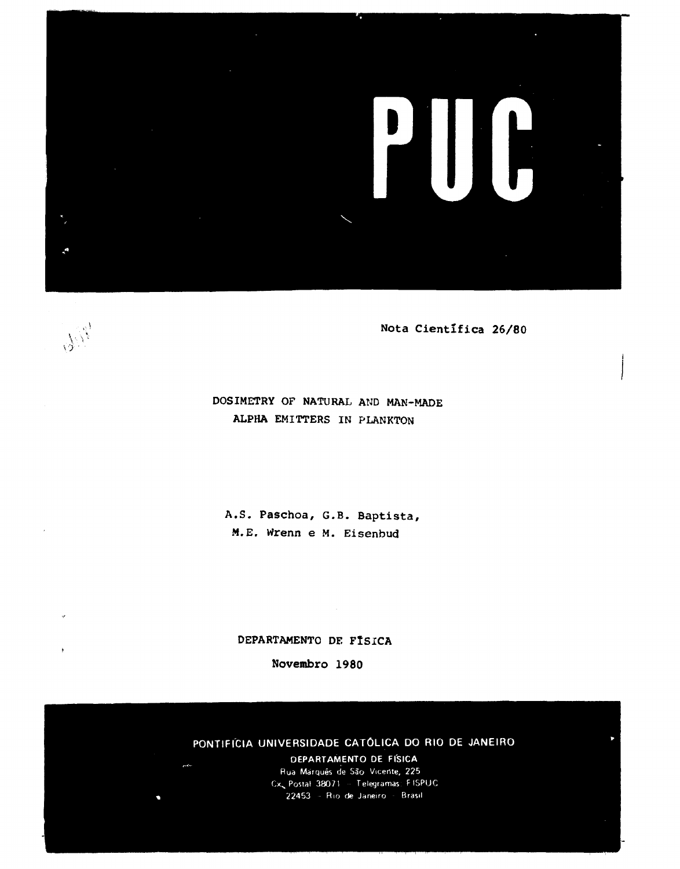

 $\mathcal{P}_{\ell_{i}}$ 

## Nota Científica 26/80

# **DOSIMETRY OF NATURAL AND MAN-MADE ALPHA** EMITTERS IN PLANKTON

A.S. **Paschoa, G.B. Baptista, M.E. Wrenn e M. Eisenbud** 

**DEPARTAMENTO DE PlSICA** 

**Novembro 1980** 

# PONTIFÍCIA UNIVERSIDADE CATÓLICA DO RIO DE JANEIRO

**DEPARTAMENTO DE FÍSICA**  Rua Marquês de São Vicente, 225 Cx, Postal 38071 - Telegramas: FISPUC 22453 - Rio de Janeiro - Brasil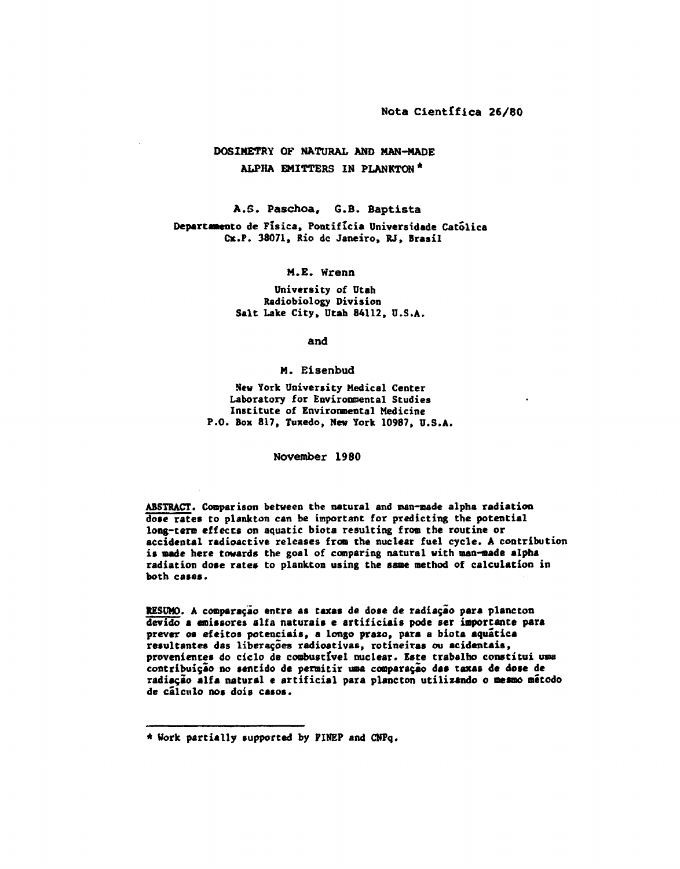# **DOSIMETRY OF NATURAL AND MAN-MADE ALPHA EMITTERS IN PLANKTON\***

**A.S. Paschoa, G.B. Baptista Departamento de Física, Pontifícia Universidade Católica Cx.P. 38071, Rio de Janeiro, RJ, Brasil** 

**M.E. Wrenn** 

**University of Utah Radiobiology Division Salt Lake City, Utah 84112, U.S.A.** 

**and** 

#### **M. Eisenbud**

**New York University Medical Center Laboratory for Environmental Studies Institute of Environmental Medicine P.O. Box 817, Tuxedo, New York 10987, U.S.A.** 

**November 1980** 

**ABSTRACT. Comparison between the natural and man-made alpha radiation dose rates to plankton can be important for predicting the potential long-term effects on aquatic biota resulting from the routine or accidental radioactive releases from the nuclear fuel cycle. A contribution is made here towards the goal of comparing natural with man-made alpha radiation dose rates to plankton using the same method of calculation in both cases.** 

**RESUMO. A comparação entre as taxas de dose de radiação para plancton devido a emissores alfa naturais e artificiais pode ser importante para prever os efeitos potenciais, a longo prazo, para a biota aquática resultantes das liberações radioativas, rotineiras ou acidentais, provenientes do ciclo de combustível nuclear. Este trabalho constituí uma contribuição no sentido de permitir uma comparação das taxas de dose de radiação alfa natural e artificial para plancton utilizando o mesmo método de cálculo nos dois casos.** 

**<sup>\*</sup> Work partially supported by PINEP and CNPq.**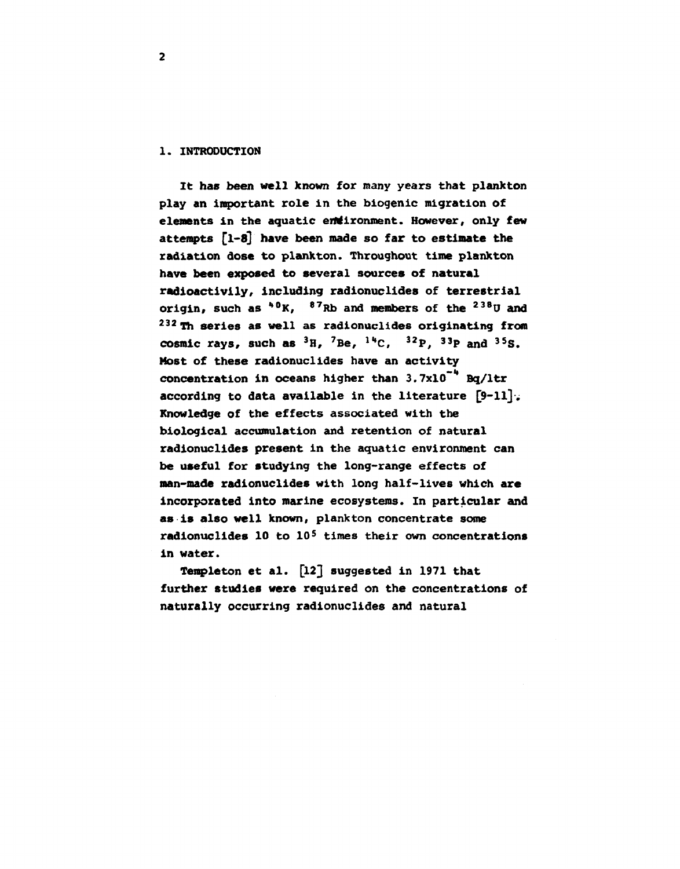### **1. INTRODUCTION**

**It has been well known for many years that plankton play an important role in the biogenic migration of**  elements in the aquatic endironment. However, only few **attempts [1-8] have been made so far to estimate the radiation dose to plankton. Throughout time plankton have been exposed to several sources of natural radioactivily, including radionuclides of terrestrial origin, such as >>0K, <sup>87</sup>Rb and members of the <sup>238</sup> 0 and 2 3 <sup>2</sup> Th series as well as radionuclides originating from**  cosmic rays, such as  ${}^{3}$ H,  ${}^{7}$ Be,  ${}^{14}$ C,  ${}^{32}$ P,  ${}^{33}$ P and  ${}^{35}$ S **Most of these radionuclides have an activity**  concentration in oceans higher than 3.7x10<sup>-4</sup> Bq/ltr **according to data available in the literature [9-11]. Knowledge of the effects associated with the biological accumulation and retention of natural radionuclides present in the aquatic environment can be useful for studying the long-range effects of man-made radionuclides with long half-lives which are incorporated into marine ecosystems. In particular and as is also well known, plankton concentrate some radionuclides 10 to 10<sup>s</sup> times their own concentrations in water.** 

**Templeton et al. [12] suggested in 1971 that further studies were required on the concentrations of naturally occurring radionuclides and natural** 

**2**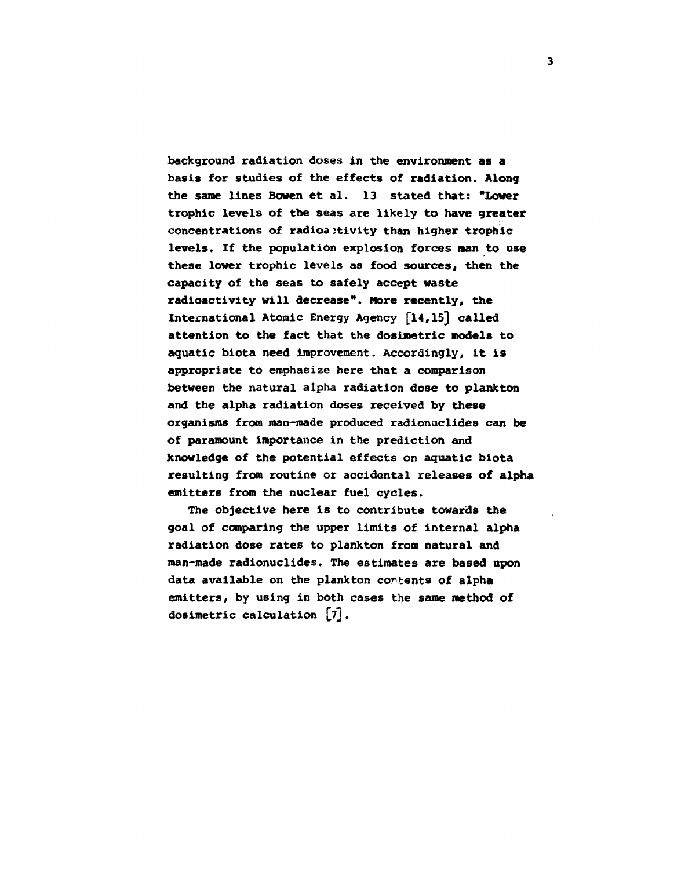**background radiation doses in the environment as a basis for studies of the effects of radiation. Along the same lines Bowen et al. 13 stated that: "Lower trophic levels of the seas are likely to have greater concentrations of radioa 2tivity than higher trophic levels. If the population explosion forces man to use these lower trophic levels as food sources, then the capacity of the seas to safely accept waste radioactivity will decrease". More recently, the International Atomic Energy Agency [14,15] called attention to the fact that the dosimetric models to aquatic biota need improvement. Accordingly, it is appropriate to emphasize here that a comparison between the natural alpha radiation dose to plankton and the alpha radiation doses received by these organisms from man-made produced radionuclides can be of paramount importance in the prediction and knowledge of the potential effects on aquatic biota resulting from routine or accidental releases of alpha emitters from the nuclear fuel cycles.** 

**The objective here is to contribute towards the goal of comparing the upper limits of internal alpha radiation dose rates to plankton from natural and man-made radionuclides. The estimates are based upon data available on the plankton cortents of alpha emitters, by using in both cases the same method of dosimetric calculation [7] .**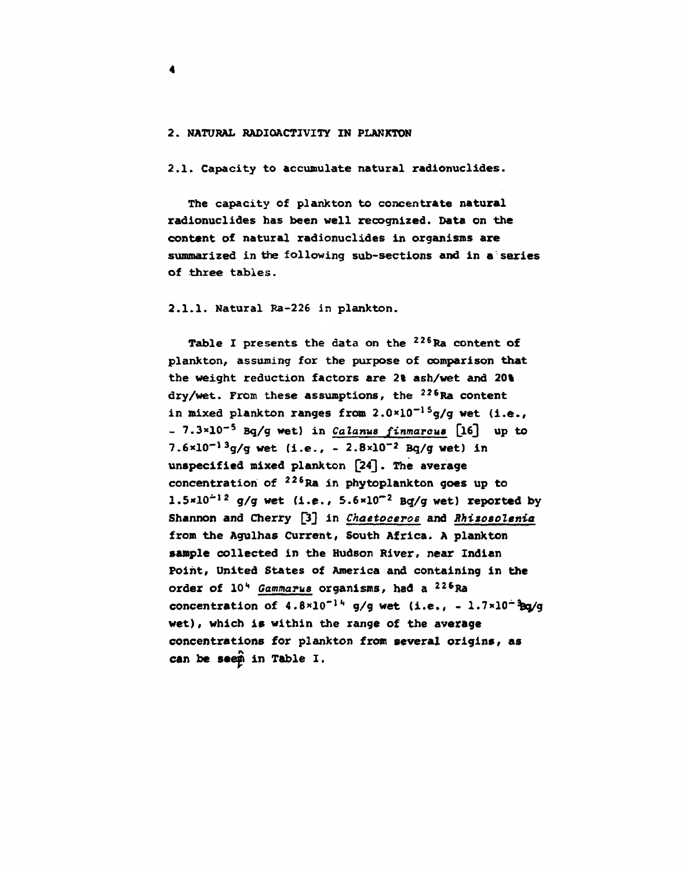### **2. NATURAL RADIOACTIVITY IN PIANXTON**

**4** 

**2.1. Capacity to accumulate natural radionuclides.** 

**The capacity of plankton to concentrate natural radionuclides has been well recognized. Data on the content of natural radionuclides in organisms are summarized in the following sub-sections and in a series of three tables.** 

**2.1.1. Natural Ra-226 in plankton.** 

**Table I presents the data on the <sup>226</sup>Ra content of plankton, assuming for the purpose of comparison that the weight reduction factors are 2% ash/wet and 20% dry/wet. From these assumptions, the <sup>226</sup>Ra content in mixed plankton ranges from 2.0xl0~l5g/g wet (i.e.,**  - 7.3×10<sup>-5</sup> Bq/g wet) in *Calanus finmarcus* [16] up to **7.6xl{T<sup>13</sup>g/g wet (i.e., - 2.8xl0-2 Bq/g wet) in unspecified mixed plankton [24]. The average concentration of <sup>226</sup>Ra in phytoplankton goes up to**   $1.5 \times 10^{-12}$  g/g wet (i.e.,  $5.6 \times 10^{-2}$  Bq/g wet) reported by Shannon and Cherry [3] in *Chaetoceros* and *RhizoBolenia* **from the Agulhas Current, South Africa. A plankton sample collected in the Hudson River, near Indian Point, United States of America and containing in the order of 10'\*** *Gammarus* **organisms, had a<sup>226</sup>Ra concentration of 4.8x1o"<sup>1</sup> "• g/g wet (i.e., - 1.7\*10~%g/g wet), which is within the range of the average concentrations for plankton from several origins, as can be seep in Table I.**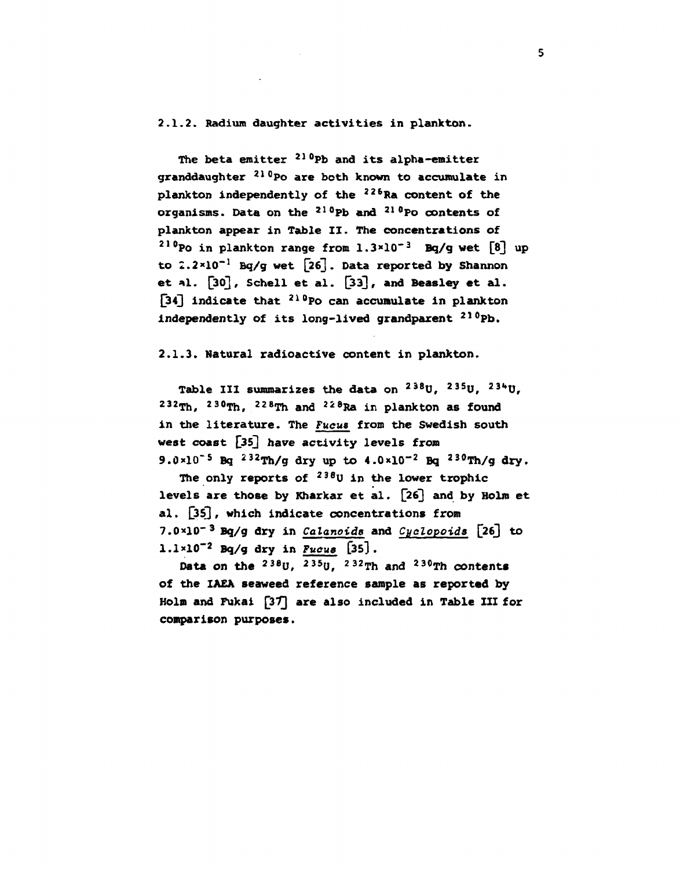### **2.1.2. Radium daughter activities in plankton.**

**The beta emitter <sup>210</sup>Pb and its alpha-emitter granddaughter <sup>210</sup>Po are both known to accumulate in plankton independently of the <sup>226</sup>Ra content of the organisms. Data on the <sup>210</sup>Pb and <sup>21</sup> °Po contents of plankton appear in Table II. The concentrations of**   $210p$  in plankton range from  $1.3 \times 10^{-3}$  Bq/g wet  $\begin{bmatrix} 8 \end{bmatrix}$  up **to 2.2\*10-\* Bq/g wet** *{26~}***. Data reported by Shannon et al. [30], Schell et al. C<sup>33</sup>3' an <sup>d</sup> Beasley et al. [343 indicate that 2i0Po can accumulate in plankton independently of its long-lived grandparent <sup>210</sup> Pb.** 

### **2.1.3. Natural radioactive content in plankton.**

**Table III summarizes the data on <sup>238</sup> U, <sup>235</sup> U, 23,,U, <sup>232</sup>Th, <sup>230</sup>Th, <sup>228</sup>Th and <sup>228</sup>Ra in plankton as found in the literature. The** *Fuous* **from the Swedish south**  west coast [35] have activity levels from **9.0\*10'<sup>5</sup> Bq <sup>232</sup>Th/g dry up to 4.0x1o"<sup>2</sup> Bq <sup>230</sup>Th/g dry.** 

**The only reports of 23e u in the lower trophic levels are those by Xharkar et al.** *[26]* **and by Holm et**  al. [35], which indicate concentrations from **7.0\*10"<sup>3</sup> Bq/g dry in** *Calanoide* **and** *Cyetlopoiás* **[263 to 1.1\*10-2 Bq/g dry in** *Fucue* **[35] .** 

**Data on the 23BU, <sup>235</sup> U, <sup>232</sup>Th and <sup>230</sup>Th contents of the IAEA seaweed reference sample as reported by Holm and Fukai []3Tj are also included in Table III for comparison purposes.**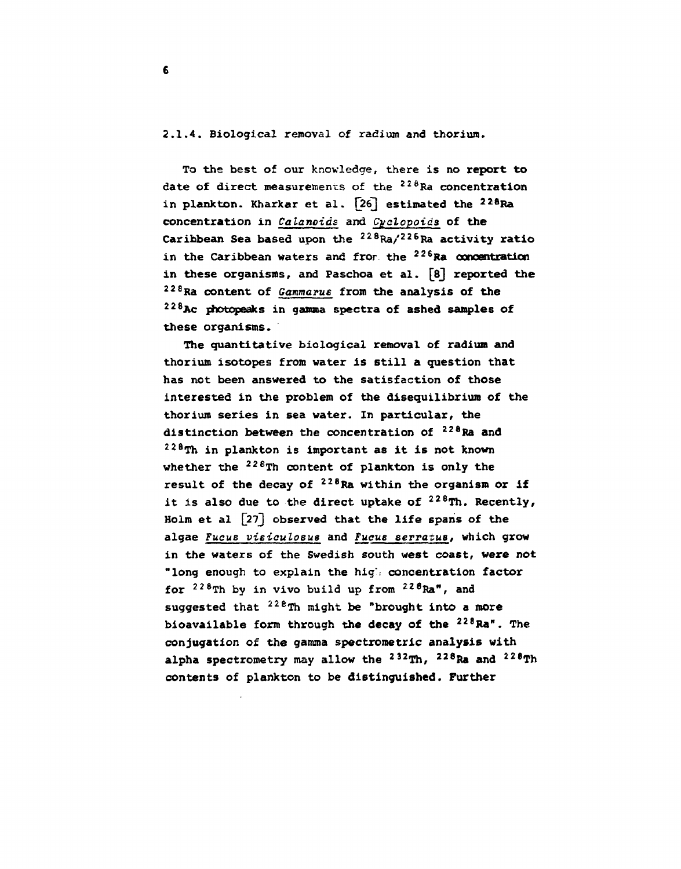**2.1.4. Biological removal of radium and thorium.** 

**To the best of our knowledge, there is no report to date of direct measurements of the <sup>226</sup>Ra concentration in plankton. Kharkar et al. [26] estimated the <sup>228</sup>Ra concentration in** *Calanoids* **and** *Cyalopoids* **of the Caribbean Sea based upon the <sup>228</sup>Ra/<sup>226</sup>Ra activity ratio in the Caribbean waters and fror the <sup>226</sup>Ra concentration in these organisms, and Paschoa et al. [8j reported the 22aRa content of** *Gamma rue* **from the analysis of the <sup>228</sup>Ac photopeaks in gamma spectra of ashed samples of these organisms.** 

**The quantitative biological removal of radium and thorium isotopes from water is still a question that has not been answered to the satisfaction of those interested in the problem of the disequilibrium of the thorium series in sea water. In particular, the distinction between the concentration of <sup>228</sup>Ra and 22BTh in plankton is important as it is not known whether the 22eTh content of plankton is only the**  result of the decay of  $228$ Ra within the organism or if **it is also due to the direct uptake of <sup>228</sup>Th. Recently, Holm et al [27] observed that the life spans of the algae** *Fucus visiculosua* **and** *Fucue serraius,* **which grow in the waters of the Swedish south west coast, were not "long enough to explain the hig": concentration factor for <sup>228</sup>Th by in vivo build up from <sup>228</sup>Ra", and suggested that 22eTh might be "brought into a more bioavailable form through the decay of the <sup>228</sup>Ra". The conjugation of the gamma spectroroetrie analysis with alpha spectrometry may allow the <sup>232</sup>Th, <sup>228</sup>Ra and 22eTh contents of plankton to be distinguished. Further** 

€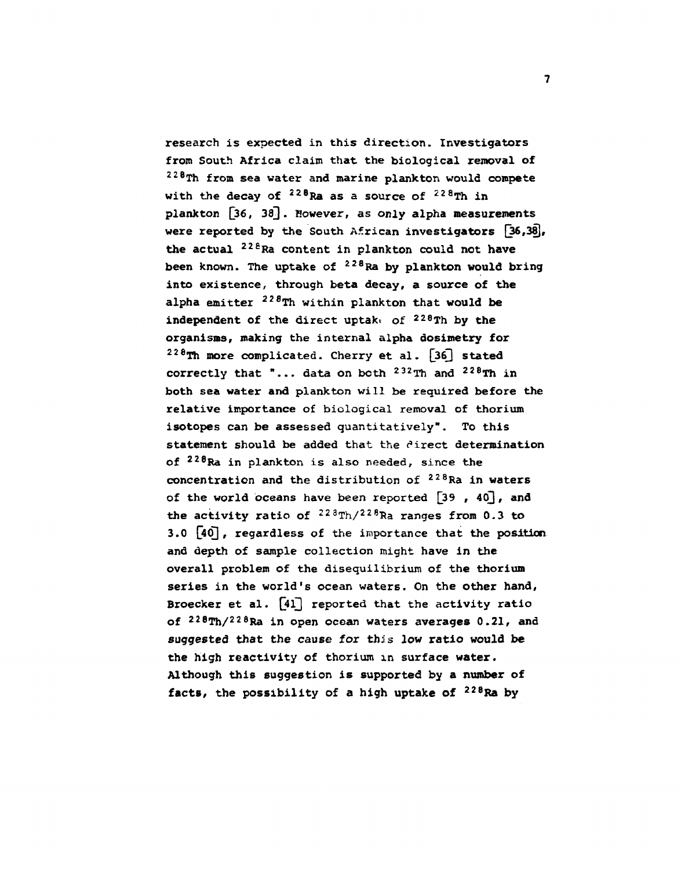**research is expected in this direction. Investigators from South Africa claim that the biological removal of <sup>228</sup>Th from sea water and marine plankton would compete**  with the decay of  $228$ Ra as a source of  $228$ Th in **plankton** *[36,* **38]. However, as only alpha measurements were reported by the South African investigators [36,38}, the actual <sup>228</sup>Ra content in plankton could not have been known. The uptake of <sup>228</sup>Ra by plankton would bring into existence, through beta decay, a source of the alpha emitter <sup>228</sup>Th within plankton that would be independent of the direct uptaki of <sup>228</sup>Th by the organisms, making the internal alpha dosimetry for <sup>228</sup>Th more complicated. Cherry et al. [36] stated correctly that "... data on both <sup>232</sup>Th and <sup>228</sup>Th in both sea water and plankton will be required before the relative importance of biological removal of thorium isotopes can be assessed quantitatively". To this statement should be added that the direct determination of <sup>228</sup>Ra in plankton is also needed, since the concentration and the distribution of <sup>228</sup>Ra in waters of the world oceans have been reported [39 , 4Cf], and the activity ratio of <sup>223</sup>Th/<sup>228</sup>T\*a ranges from 0.3 to 3.0 [40], regardless of the importance that the position and depth of sample collection might have in the overall problem of the disequilibrium of the thorium series in the world's ocean waters. On the other hand, Broecker et al. [4l] reported that the activity ratio of <sup>228</sup>Th/<sup>228</sup>Ra in open ocean waters averages 0.21, and suggested that the cause for this low ratio would be the high reactivity of thorium in surface water. Although this suggestion is supported by a number of facts, the possibility of a high uptake of <sup>228</sup>Ra by**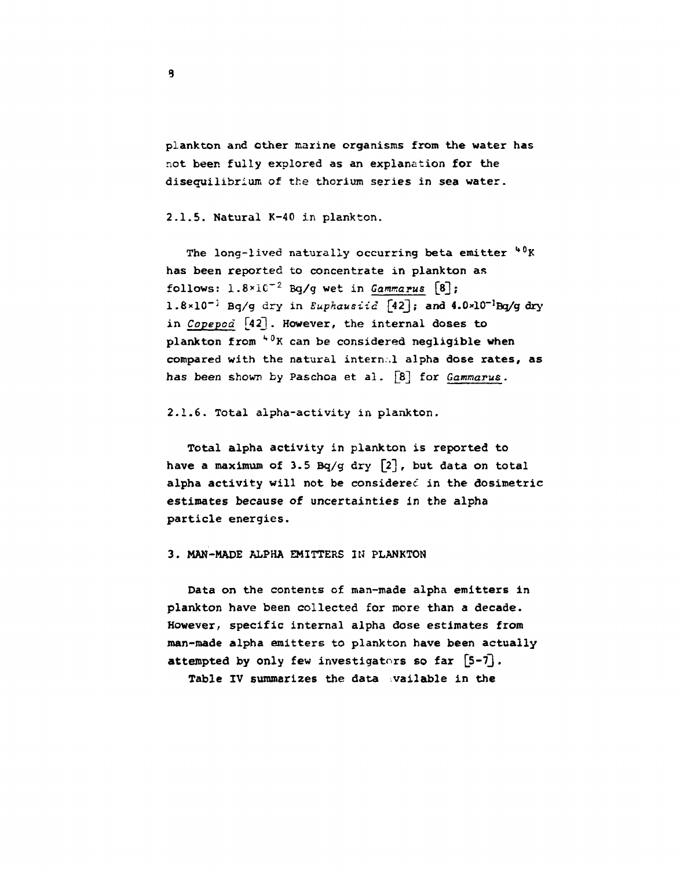plankton and other marine organisms from the water has not been fully explored as an explanation for the disequilibrium of the thorium series in sea water.

2.1.5. Natural K-40 in plankton.

The long-lived naturally occurring beta emitter  $40K$ has been reported to concentrate in plankton as follows:  $1.8 \times 10^{-2}$  Bg/g wet in *Gammarus*  $[8]$ ; 1.8×10<sup>-1</sup> Bq/g dry in *Euphausiid* [42]; and 4.0×10<sup>-1</sup>Bq/g dry in *Copepod* [42] . However, the internal doses to plankton from <sup>40</sup>K can be considered negligible when compared with the natural intern.l alpha dose rates, as has been shown by Paschoa et al. *[8]* for *Gammarus*.

2.1.6. Total alpha-activity in plankton.

Total alpha activity in plankton is reported to have a maximum of 3.5 Bq/g dry *[2],* but data on total alpha activity will not be considered in the dosimetric estimates because of uncertainties In the alpha particle energies.

3. MAN-MADE ALPHA EMITTERS IH PLANKTON

Data on the contents of man-made alpha emitters in plankton have been collected for more than a decade. However, specific internal alpha dose estimates from man-made alpha emitters to plankton have been actually attempted by only few investigators so far  $[5-7]$ .

Table IV summarizes the data vailable in the

9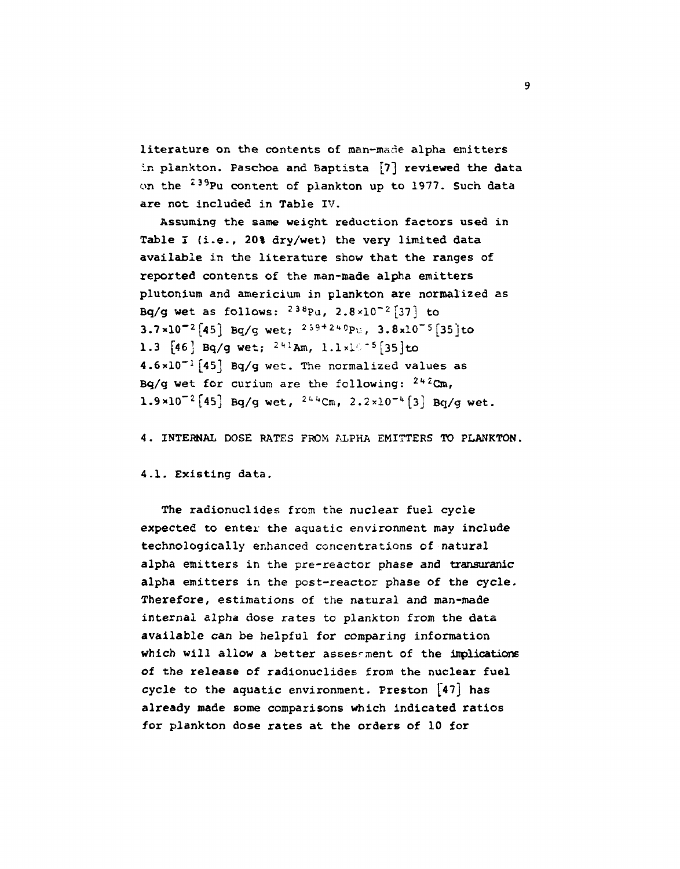literature on the contents of man-made alpha emitters in plankton. Paschoa and Baptista [7] reviewed the data on the <sup>239</sup>Pu content of plankton up to 1977. Such data are not included in Table IV.

Assuming the same weight reduction factors used in Table I (i.e., 20% dry/wet) the very limited data available in the literature show that the ranges of reported contents of the man-made alpha emitters plutonium and americium in plankton are normalized as Bq/g wet as follows:  $^{238}$ Pa,  $2.8 \times 10^{-2}$  [37] to  $3.7 \times 10^{-2} [45]$  Bg/g wet;  $^{2.59 + 2.40}$ Pu,  $3.8 \times 10^{-5} [35]$ to 1.3  $[46]$  Bq/g wet;  $^{2+1}$ Am,  $1.1 \times 10^{-5}$  [35]to  $4.6 \times 10^{-1}$  [45] Bq/g wet. The normalized values as Bq/g wet for curium are the following:  $242$ Cm,  $1.9 \times 10^{-2} [45]$  Bq/g wet,  $2.44$  Cm,  $2.2 \times 10^{-4} [3]$  Bq/g wet.

4. INTERNAL DOSE RATES FROM ALPHA EMITTERS TO PLANKTON.

4.1. Existing data.

The radionuclides from the nuclear fuel cycle expected to enter the aquatic environment may include technologically enhanced concentrations of natural alpha emitters in the pre-reactor phase and transuranic alpha emitters in the post-reactor phase of the cycle. Therefore, estimations of the natural and man-made internal alpha dose rates to plankton from the data available can be helpful for comparing information which will allow a better assessment of the implications of the release of radionuclides from the nuclear fuel cycle to the aquatic environment. Preston [47] has already made some comparisons which indicated ratios for plankton dose rates at the orders of 10 for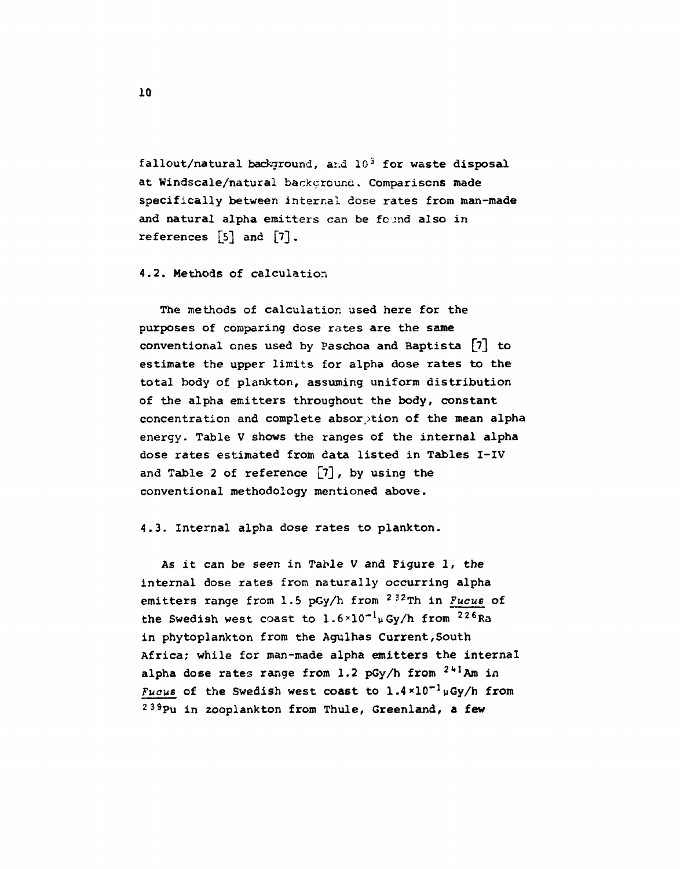fallout/natural background, and  $10^3$  for waste disposal at Windscale/natural background. Comparisons made specifically between internal dose rates from man-made and natural alpha emitters can be found also in references *[s"\* and **[YJ**.

4.2. Methods of calculation

The methods of calculation used here for the purposes of comparing dose rates are the same conventional ones used by Paschoa and Baptista  $[7]$  to estimate the upper limits for alpha dose rates to the total body of plankton, assuming uniform distribution of the alpha emitters throughout the body, constant concentration and complete absorption of the mean alpha energy. Table V shows the ranges of the internal alpha dose rates estimated from data listed in Tables I-IV and Table 2 of reference **[YJ** *,* by using the conventional methodology mentioned above.

4.3. Internal alpha dose rates to plankton.

As it can be seen in Table V and Figure 1, the internal dose rates from naturally occurring alpha emitters range from 1.5 pGy/h from <sup>232</sup>Th in *Fucue* of the Swedish west coast to  $1.6\times10^{-1}$ µ Gy/h from  $^{226}$ Ra in phytoplankton from the Agulhas Current,South Africa; while for man-made alpha emitters the internal alpha dose rates range from 1.2 pGy/h from <sup>241</sup>Am in *Fucus* of the Swedish west coast to 1.4x10<sup>-1</sup>uGy/h from 2 3 9pu in zooplankton from Thule, Greenland, a **few**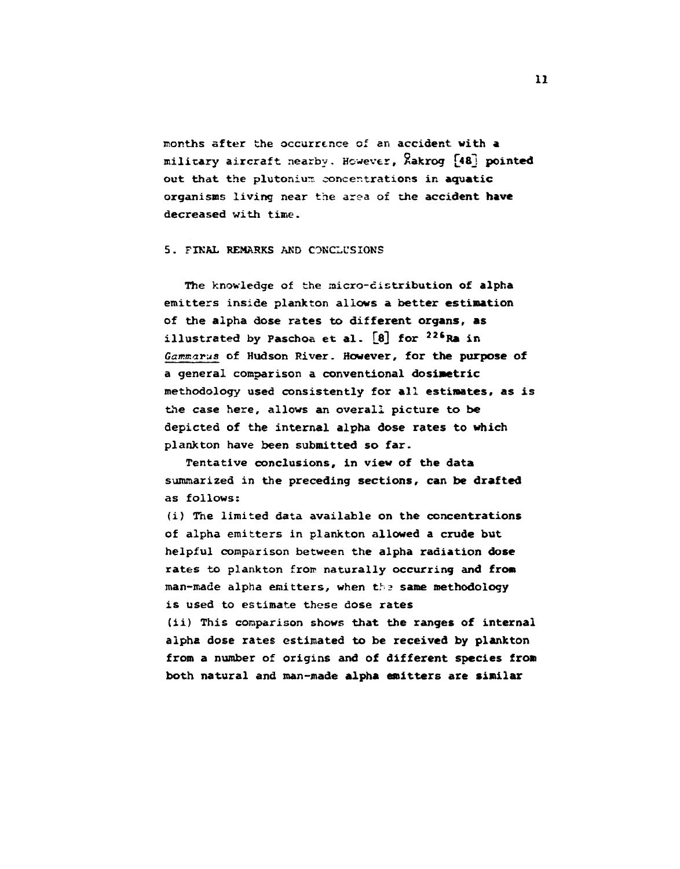**months after the occurrence of an accident with a military aircraft nearby. However, Aakrog [48j pointed out that the plutonium concentrations in aquatic organisms living near the area of the accident have decreased with time.** 

**5. FINAL REMARKS AND CONCLUSIONS** 

**The knowledge of the micro-distribution of alpha emitters inside plankton allows a better estimation of the alpha dose rates to different organs, as**  illustrated by Paschoa et al. [8] for <sup>226</sup>Ra in *Gammarus* **of Hudson River. However, for the purpose of a general comparison a conventional dosimetric methodology used consistently for all estimates, as is the case here, allows an overall picture to be depicted of the internal alpha dose rates to which plankton have been submitted so far.** 

**Tentative conclusions, in view of the data summarized in the preceding sections, can be drafted as follows:** 

**(i) The limited data available on the concentrations of alpha emitters in plankton allowed a crude but helpful comparison between the alpha radiation dose**  rates to plankton from naturally occurring and from **man-made alpha emitters, when th? same methodology is used to estimate these dose rates (ii) This comparison shows that the ranges of internal alpha dose rates estimated to be received by plankton from a number of origins and of different species from** 

**both natural and man-made alpha emitters are similar**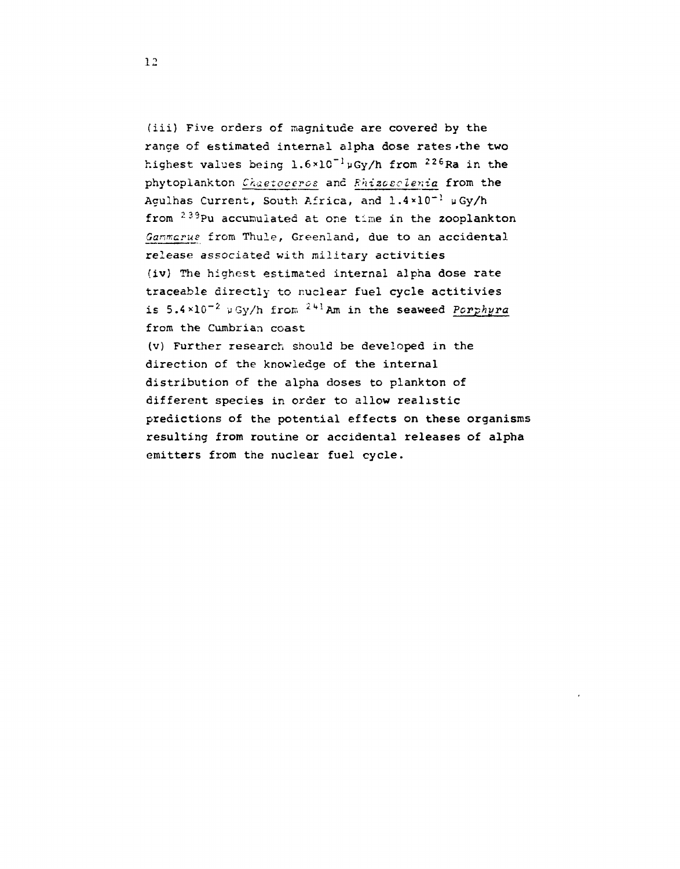(iii) Five orders of magnitude are covered by the range of estimated internal alpha dose rates the two highest values being  $1.6\times10^{-1}$   $\mu$ Gy/h from  $^{226}$ Ra in the phytoplankton *Chaeioceros* and *Fhizcsclenza* from the Agulhas Current, South Africa, and 1.4\*10-1 u Gy/h from <sup>239</sup>Pu accumulated at one time in the zooplankton Ganmarus from Thule, Greenland, due to an accidental release associated with military activities (iv) The highest estimated internal alpha dose rate traceable directly to nuclear fuel cycle actitivies is  $5.4\times10^{-2}$  y Gy/h from  $^{2+1}$ Am in the seaweed *Porphyra* from the Cumbrian coast (v) Further research should be developed in the direction of the knowledge of the internal distribution of the alpha doses to plankton of different species in order to allow realistic

predictions of the potential effects on these organisms resulting from routine or accidental releases of alpha emitters from the nuclear fuel cycle.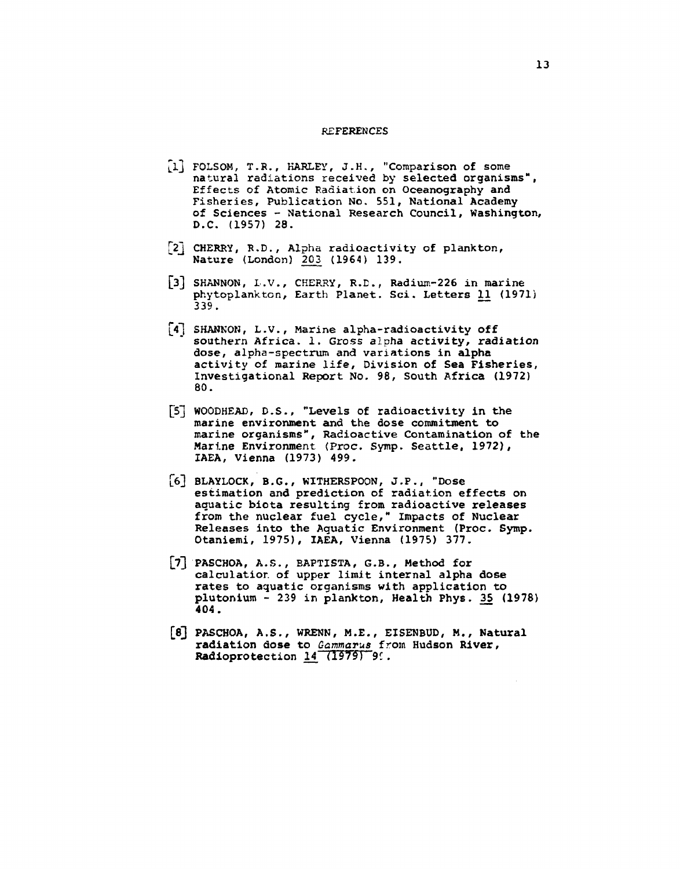#### **REFERENCES**

- [l] FOLSOM, T.R., KARLEY, J.H., "Comparison of some natural radiations received by selected organisms", Effects of Atomic Radiation on Oceanography and Fisheries, Publication No. 551, National Academy of Sciences - National Research Council, Washington, D.C. (1957) 28.
- $[2]$  CHERRY, R.D., Alpha radioactivity of plankton, Nature (London) 203 (1964) 139.
- [3] SHANNON,  $L.V.$ , CHERRY, R.D., Radium-226 in marine phytoplankton, Earth Planet. Sci. Letters 11 (1971) 339.
- [4] SHANNON, L.V., Marine alpha-radioactivity off southern Africa. 1. Gross alpha activity, radiation dose, alpha-spectrum and variations in alpha activity of marine life, Division of Sea Fisheries, Investigational Report No. 98, South Africa (1972) 80.
- [53 WOODHEAD, D.S., "Levels of radioactivity in the marine environment and the dose commitment to marine organisms", Radioactive Contamination of the Marine Environment (Proc. Symp. Seattle, 1972), IAEA, Vienna (1973) 499.
- [ô] BLAYLOCK, B.G., WITHERSPOON, J.P., "Dose estimation and prediction of radiation effects on aquatic biota resulting from radioactive releases from the nuclear fuel cycle," Impacts of Nuclear Releases into the Aquatic Environment (Proc. Symp. Otaniemi, 1975), IAEA, Vienna (1975) 377.
- [73 PASCHOA, A.S., EAPTISTA, G.B., Method for calculation of upper limit internal alpha dose rates to aquatic organisms with application to plutonium - 239 in plankton, Health Phys. 35 (1978) 404.
- [8] PASCHOA, A.S., WRENN, M.E., EISENBUD, M., Natural radiation dose to *Gammarus* from Hudson River, Radioprotection 14\_ (1979) *9Í .*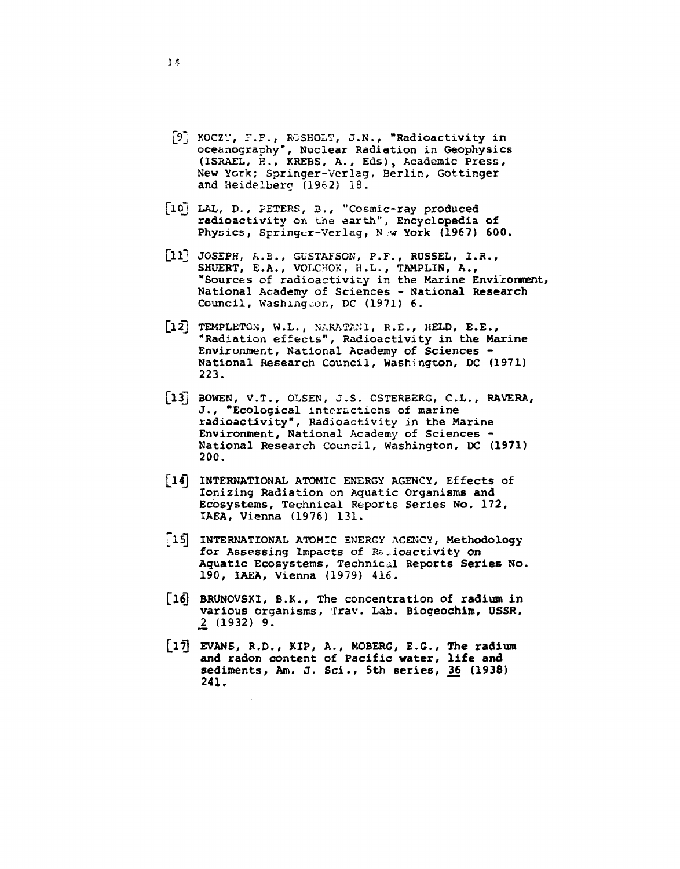- [9] KOCZY, F.F., ROSHOLT, J.N., "Radioactivity in oceanography", Nuclear Radiation in Geophysics (ISRAEL, H., KREBS, A., Eds), Academic Press, New York; Springer-Verlag, Berlin, Gottinger and Reidelberg (1962) 18.
- [lOJ LAL, D., PETERS, B., "Cosmic-ray produced radioactivity on the earth", Encyclopedia of Physics, Springer-Verlag, N & York (1967) 600.
- [ll] JOSEPH, A.B., GUSTAFSON, P.F., RÜSSEL, I.R., SHUERT, E.A., VOLCHOK, H.L., TAMPLIN, A., "Sources of radioactivity in the Marine Environment, National Academy of Sciences - National Research Council, Washington, DC (1971) 6.
- [12] TEMPLETON, W.L., NAKATANI, R.E., HELD, E.E., "Radiation effects", Radioactivity in the Marine Environment, National Academy of Sciences - National Research Council, Washington, DC (1971) 223.
- [13] BOWEN, V.T., OLSEN, J.S. 0STER3ERG, C.L., RAVERA, J., "Ecological interactions of marine radioactivity". Radioactivity in the Marine Environment, National Academy of Sciences - National Research Council, Washington, DC (1971) 200.
- [14] INTERNATIONAL ATOMIC ENERGY AGENCY, Effects of Ionizing Radiation on Aquatic Organisms and Ecosystems, Technical Reports Series No. 172, IAEA, Vienna (1976) 131.
- [15] INTERNATIONAL ATOMIC ENERGY AGENCY, Methodology for Assessing Impacts of Ratioactivity on Aquatic Ecosystems, Technical Reports Series No. 190, IAEA, Vienna (1979) 416.
- [16] BRUNOVSKI, B.K., The concentration of radium in various organisms, Trav. Lab. Biogeochim, USSR, \_2 (1932) 9.
- [if) EVANS, R.D., KIP, A., MOBERG, E.G., The radium and radon content of Pacific water, life and sediments, Am. J. Sci., 5th series, 36 (1938) 241.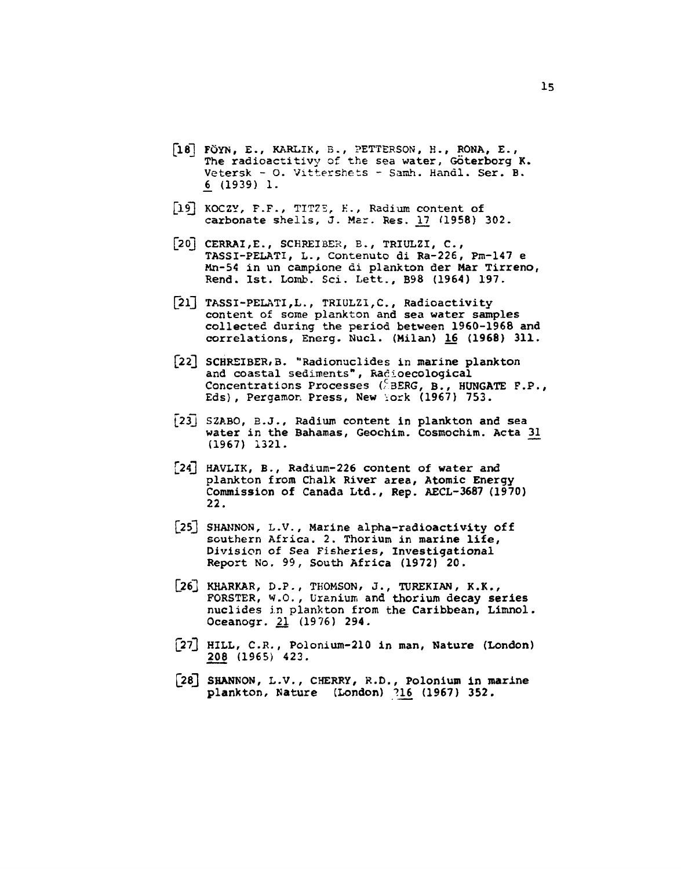- $[18]$  FÖYN, E., KARLIK, B., PETTERSON, H., RONA, E., The radioactitivy of the sea water, Göterborg K. Vetersk - O. Vittershets - Samh. Handl. Ser. B. 6^ (1939) 1.
- [19] KOCZY, F.F., TITZE, K., Radium content of carbonate shells, J. Mar. Res. 17 (1958) 302.
- [20J CERRAI,E., SCHREIBER, B., TRIULZI, C. , TASSI-PELATI, L., Contenuto di Ra-226, Pm-147 e Mn-54 in un campione di plankton der Mar Tirreno, Rend. 1st. Lomb. Sci. Lett., B98 (1964) 197.
- [21] TASSI-PELATI,L., TRIULZI,C, Radioactivity content of some plankton and sea water samples collected during the period between 1960-1968 and correlations, Energ. Nucl. (Milan) 16 (1968) 311.
- [22] SCHREIBER, B. "Radionuclides in marine plankton and coastal sediments", Racioecological Concentrations Processes (ABERG, B., HUNGATE F.P., Eds), Pergamon Press, New iork (1967) 753.
- [23J SZABO, B.J., Radium content in plankton and sea water in the Bahamas, Geochim. Cosmochim. Acta 31 (1967) 1321.
- [24]] HAVLIK, B., Radium-226 content of water and plankton from Chalk River area, Atomic Energy Commission of Canada Ltd., Rep. AECL-3687 (1970) 22.
- [25] SHANNON, L.V., Marine alpha-radioactivity off southern Africa. 2. Thorium in marine life, Division of Sea Fisheries, Investigational Report No. 99, South Africa (1972) 20.
- [26j KHARKAR, D.P., THOMSON, J., TUREKIAN, K.K., FORSTER, W.O., Uranium and thorium decay series nuclides in plankton from the Caribbean, Limnol. Oceanogr. *21* (19 76) 294.
- [27] HILL, C.R., Polonium-210 in man, Nature (London) 208 (1965) 423.
- [28] SHANNON, L.V., CHERRY, R.D., Polonium in marine plankton, Nature (London) ?16 (1967) 352.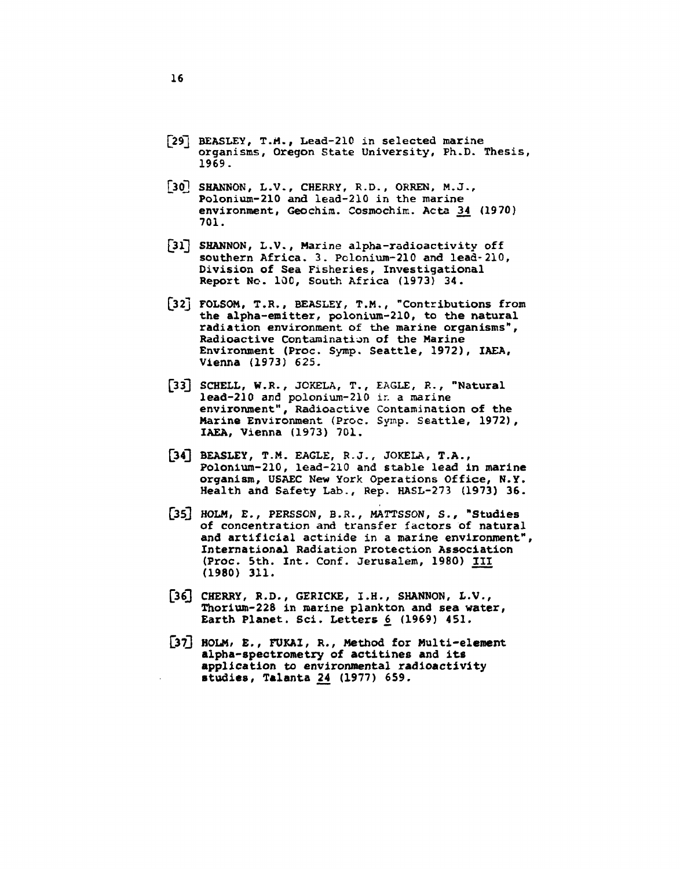- [29] BEASLEY, T.M., Lead-210 in selected marine organisms, Oregon State University, Ph.D. Thesis, 1969.
- [30] SHANNON, L.V., CHERRY, R.D., ORREN, M.J., Polonium-210 and lead-210 in the marine environment, Geochim. Cosmochim. Acta 34 (1970) 701.
- [31] SHANNON, L.V., Marine alpha-radioactivity off southern Africa. 3. Polonium-210 and lead-210, Division of Sea Fisheries, Investigational Report No. IOC, South Africa (1973) 34.
- [32J POLSOM, T.R., BEASLEY, T.M., "Contributions from the alpha-emitter, polonium-210, to the natural radiation environment of the marine organisms". Radioactive Contamination of the Marine Environment (Proc. Symp. Seattle, 1972), IAEA, Vienna (1973) 625.
- [33] SCHELL, W.R., JCKELA, T., EAGLE, R., "Natural lead-210 and polonium-210 ir. a marine environment", Radioactive Contamination of the Marine Environment (Proc. Symp. Seattle, 1972), IAEA, Vienna (1973) 701.
- [34] BEASLEY, T.M. EAGLE, R.J., JOKELA, T.A., Polonium-210, lead-210 and stable lead in marine organism, USAEC New York Operations Office, N.Y. Health and Safety Lab., Rep. HASL-273 (1973) 36.
- [35] HOLM, E., PERSSON, B.R., MATTSSON, S., "Studies of concentration and transfer factors of natural and artificial actinide in a marine environment", International Radiation Protection Association (Proc. 5th. Int. Conf. Jerusalem, 1980) III (1980) 311.
- [36] CHERRY, R.D., GERICKE, I.H., SHANNON, L.V., Thorium-228 in marine plankton and sea water, Earth Planet. Sci. Letters  $6$  (1969) 451.
- [37] HOLM, E., FUKAI, R., Method for Multi-element alpha-spectrometry of actitines and its application to environmental radioactivity studies, Talanta 24 (1977) 659.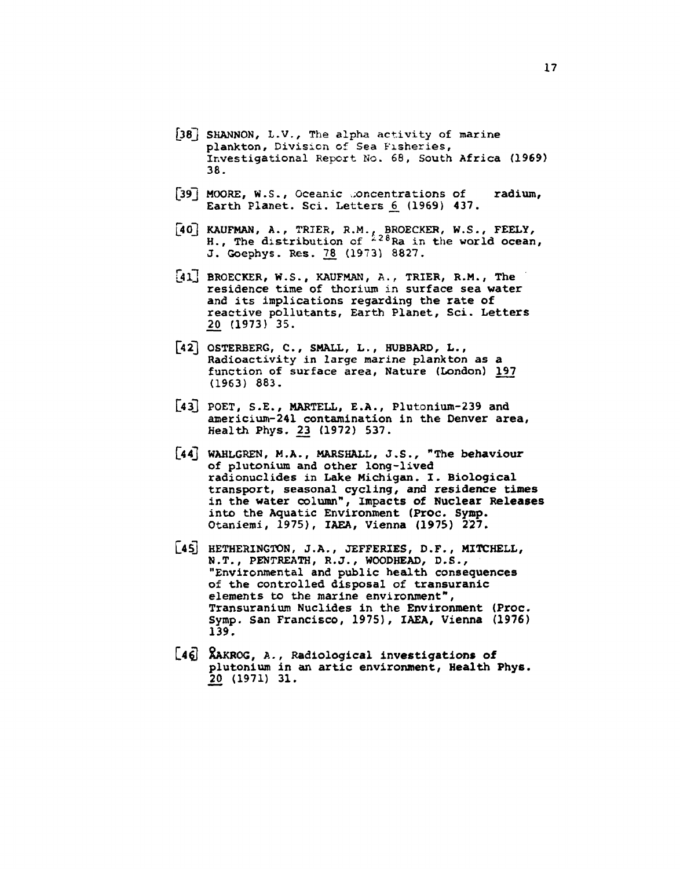- $[38]$  SHANNON, L.V., The alpha activity of marine plankton. Division of Sea Fisheries, Investigational Report No. 68, South Africa (1969) 38.
- [39] MOORE, W.S., Oceanic concentrations of radium, Earth Planet. Sci. Letters 6 (1969) 437.
- [40] KAUFMAN, A., TRIER, R.M., BROECKER, W.S., FEELY, H., The distribution of  $228$ Ra in the world ocean, J. Goephys. Res. 78 (1973) 8827.
- L41j BROECKER, W.S., KAUFMAN, A., TRIER, R.M., The residence time of thorium in surface sea water and its implications regarding the rate of reactive pollutants, Earth Planet, Sci. Letters 2£ (1973) 35.
- $[42]$  OSTERBERG, C., SMALL, L., HUBBARD, L., Radioactivity in large marine plankton as a function of surface area, Nature (London) 197 (1963) 883.
- [43] POET, S.E., MARTELL, E.A., Plutonium-239 and americium-241 contamination in the Denver area, Health Phys. 23 (1972) 537.
- **[44] WAHLGREN, M.A., MARSHALL, J.S., "The behaviour**  of plutonium and other long-lived radionuclides in Lake Michigan. I. Biological transport, seasonal cycling, and residence times in the water column", Impacts of Nuclear Releases into the Aquatic Environment (Proc. Symp. Otaniemi, 1975), IAEA, Vienna (1975) 227.
- [45] HETHERINGTON, J.A., JEFFERIES, D.F., MITCHELL, N.T., PENTREATH, R.J., WOODHEAD, D.S., "Environmental and public health consequences of the controlled disposal of transuranic elements to the marine environment", Transuranium Nuclides in the Environment (Proc. Symp. San Francisco, 1975), IAEA, Vienna (1976) 139.
- [44] RAKROG, A., Radiological investigations of plutonium in an artic environment, Health Phy6. 20 (1971) 31.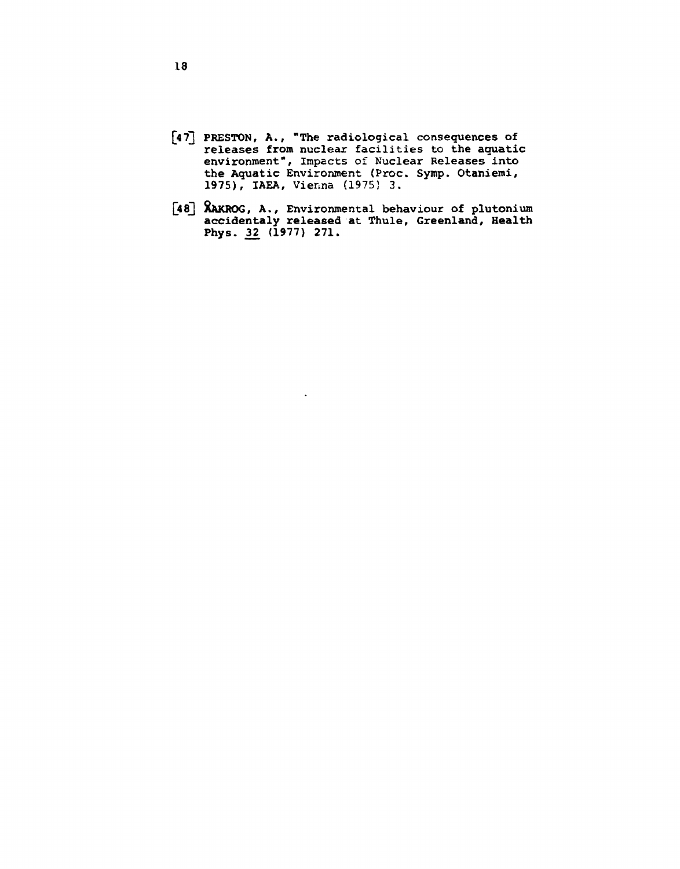- [4 7] PRESTON, A., "The radiological consequences of releases from nuclear facilities to the aquatic environment", Impacts of Nuclear Releases into the Aquatic Environment (Proc. Symp. Otaniemi, 1975), IAEA, Vienna (1975) 3.
- [48] XAKROG, A., Environmental behaviour of plutonium accidentaly released at Thule, Greenland, Health Phys. 32^ (1977) 271.

18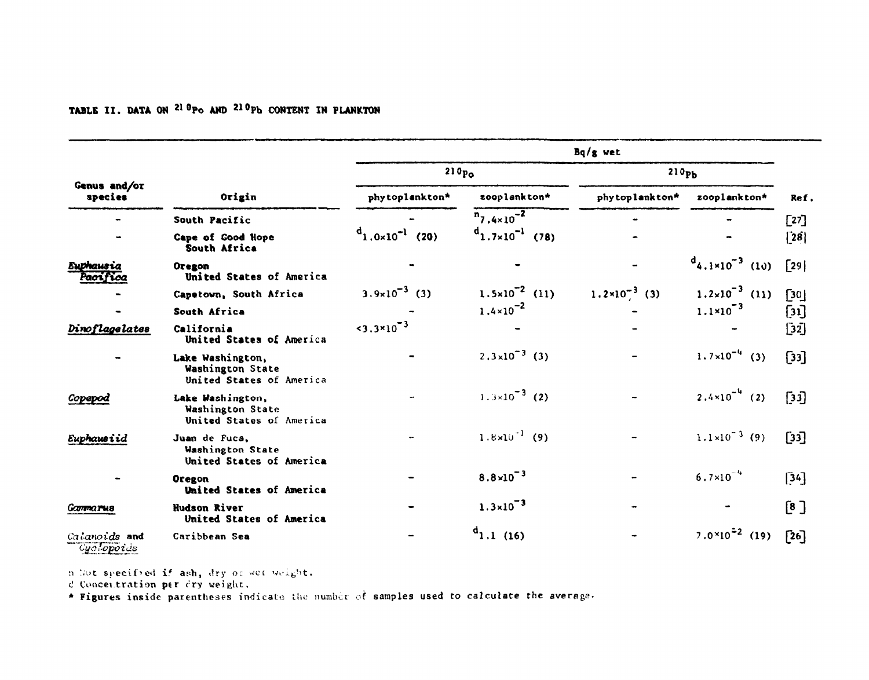### **TABLE II . DATA ON** 2 l  **°Po AND <sup>210</sup> P h CONTENT IN PLANKTON**

|                                    |                                                                  |                             |                                 | $Bq/g$ wet               |                                      |                    |  |  |
|------------------------------------|------------------------------------------------------------------|-----------------------------|---------------------------------|--------------------------|--------------------------------------|--------------------|--|--|
| Genus and/or<br>species            | Origin                                                           | 210p <sub>o</sub>           |                                 | 210 <sub>Pb</sub>        |                                      |                    |  |  |
|                                    |                                                                  | phytoplankton*              | zooplankton*                    | phytoplankton*           | zooplankton*                         | Ref.               |  |  |
|                                    | South Pacific                                                    |                             | $n_{7.4\times10}$ <sup>-2</sup> |                          |                                      | $[27]$             |  |  |
|                                    | Cape of Good Hope<br>South Africa                                | $d_{1.0\times10}^{-1}$ (20) | $d_{1.7\times10}^{-1}$ (78)     |                          |                                      | [28]               |  |  |
| Euphausia<br>raos reca             | <b>Oregon</b><br>United States of America                        |                             |                                 |                          | $d_{4.1\times10}$ <sup>-3</sup> (10) | $\lceil 29 \rceil$ |  |  |
|                                    | Capetown, South Africa                                           | $3.9 \times 10^{-3}$ (3)    | $1.5 \times 10^{-2}$ (11)       | $1.2 \times 10^{-3}$ (3) | $1.2 \times 10^{-3}$ (11)            | [30]               |  |  |
|                                    | South Africa                                                     |                             | $1.4 \times 10^{-2}$            |                          | $1.1 \times 10^{-3}$                 | [31]               |  |  |
| Dinoflagelates                     | California<br>United States of America                           | $3.3 \times 10^{-3}$        |                                 |                          |                                      | [32]               |  |  |
|                                    | Lake Washington,<br>Washington State<br>United States of America |                             | $2,3 \times 10^{-3}$ (3)        |                          | $1.7 \times 10^{-4}$ (3)             | [33]               |  |  |
| Copepod                            | Lake Washington,<br>Washington State<br>United States of America |                             | $1.3 \times 10^{-3}$ (2)        |                          | $2.4 \times 10^{-4}$ (2)             | $[33]$             |  |  |
| Euphausiid                         | Juan de Fuca,<br>Washington State<br>United States of America    |                             | $1.8 \times 10^{-1}$ (9)        |                          | $1.1 \times 10^{-3}$ (9)             | $[33]$             |  |  |
|                                    | Oregon<br>United States of America                               |                             | $8.8 \times 10^{-3}$            |                          | $6.7 \times 10^{-4}$                 | [34]               |  |  |
| <b>Garmarus</b>                    | Hudson River<br>United States of America                         |                             | $1.3 \times 10^{-3}$            |                          |                                      | [8]                |  |  |
| Calanoids and<br><b>Cyclopoids</b> | Caribbean Sea                                                    |                             | $d_{1,1}$ (16)                  |                          | $7.0 \times 10^{-2}$ (19)            | $\lceil 26 \rceil$ |  |  |

n Not specified if ash, dry or wer weight.

d Concentration per cry weight.

\* Figures inside parentheses indicate the number of samples used to calculate the average.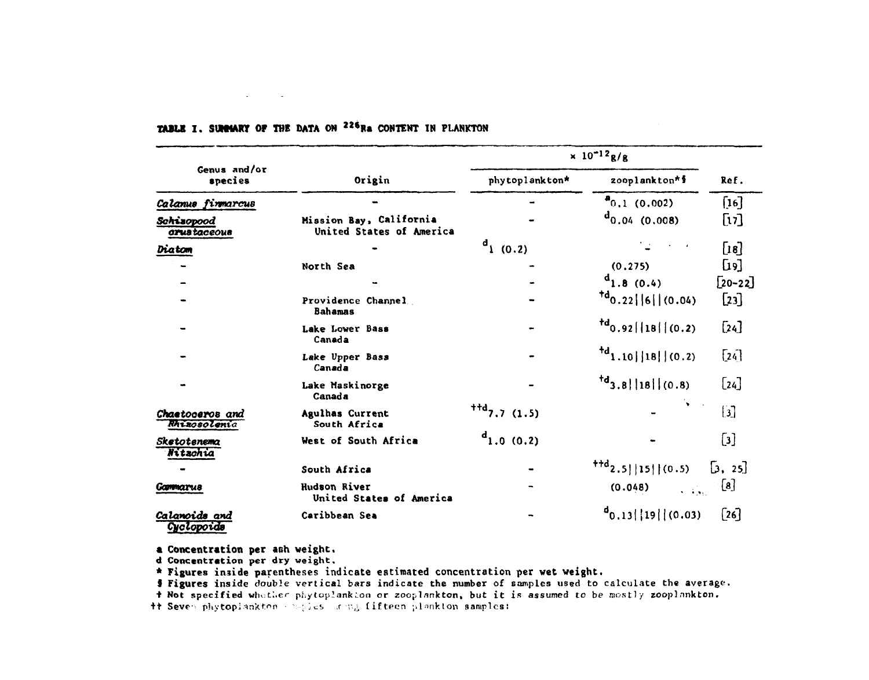|                                  |                                                     | $\times 10^{-12} g/g$ |                                                                             |                           |  |
|----------------------------------|-----------------------------------------------------|-----------------------|-----------------------------------------------------------------------------|---------------------------|--|
| Genus and/or<br>species          | Origin                                              | phytoplankton*        | zooplankton*§                                                               | Ref.                      |  |
| Calanue firmarcus                |                                                     |                       | $a_{0,1}$ (0.002)                                                           | [16]                      |  |
| Schizopood<br><b>orustaceous</b> | Mission Bay, California<br>United States of America |                       | $d_{0.04}$ (0.008)                                                          | [17]                      |  |
| Diatom                           |                                                     | $d_{1}$ (0.2)         |                                                                             | [18]                      |  |
|                                  | North Sea                                           |                       | (0.275)                                                                     | $\lceil 9 \rceil$         |  |
|                                  |                                                     |                       | $d_{1.8(0.4)}$                                                              | $[20-22]$                 |  |
|                                  | Providence Channel<br><b>Bahamas</b>                |                       | $^{4d}$ 0.22    6     (0.04)                                                | [23]                      |  |
|                                  | Lake Lower Bass<br>Canada                           |                       | $^{td}$ 0.92     18     (0.2)                                               | [24]                      |  |
|                                  | Lake Upper Bass<br>Canada                           |                       | $^{4d}$ 1.10     18     (0.2)                                               | $\lceil 24 \rceil$        |  |
|                                  | Lake Maskinorge<br>Canada                           |                       | $td_{3.8}$   18  (0.8)                                                      | [24]                      |  |
| Chaetoceros and<br>Rhizosolenia  | Agulhas Current<br>South Africa                     | $^{ttd}$ 7.7 (1.5)    |                                                                             | $\mathbf{E}$              |  |
| Sketotenema<br>Nitzchia          | West of South Africa                                | $d_{1.0}$ (0.2)       |                                                                             | $\left[\mathbf{3}\right]$ |  |
|                                  | South Africa                                        |                       | $\text{Hd}_2$ , 5  15  (0.5)                                                | [3, 25]                   |  |
| Garmarus                         | Hudson River<br>United States of America            |                       | (0.048)<br>$\mathbf{v} = \mathbf{v} \mathbf{v}$ , $\mathbf{v} = \mathbf{v}$ | $\lbrack 8 \rbrack$       |  |
| Calanoids and<br>Cyclopoids      | Caribbean Sea                                       |                       | $\binom{d}{0.13}$   19   (0.03)                                             | $\lceil 26 \rceil$        |  |

# **TABLE I. SUMMARY OF THE DATA ON <sup>226</sup>Ra CONTENT IN PLANKTON**

and a strategic

a Concentration per ash weight.

d Concentration per dry weight.

\* Figures inside parentheses indicate estimated concentration per vet weight.

§ Figures inside double vertical bars indicate the number of samples used to calculate the average.

t Not specified whether phytoplankton or zooplankton, but it is assumed to be mostly zooplankton.

++ Seven phytoplankton - belies armg fifteen plankton samples: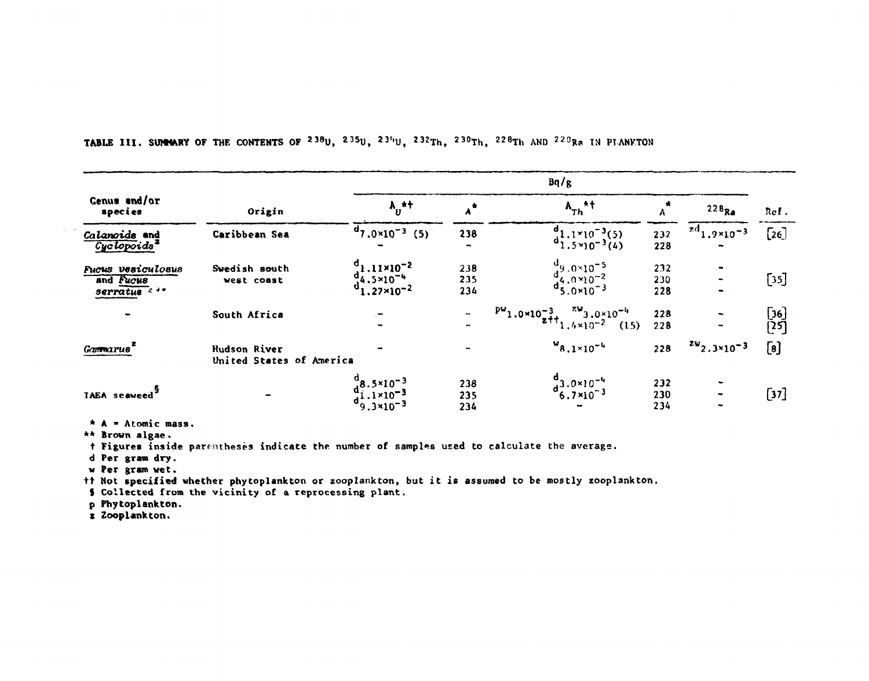|                                                       |                                                 |                                                                                                                   |                      | Bq/g                                                                                 |                   |                               |              |
|-------------------------------------------------------|-------------------------------------------------|-------------------------------------------------------------------------------------------------------------------|----------------------|--------------------------------------------------------------------------------------|-------------------|-------------------------------|--------------|
| Genus and/or<br>species                               | Origin                                          | $A_{IJ}^{\star+}$                                                                                                 |                      | $A_{Th}$ *†                                                                          |                   | $228_{\text{Ra}}$             | Ref.         |
| Calanoids and<br>Cyclopoids <sup>1</sup>              | Caribbean Sea                                   | $d_{7.0 \times 10^{-3}}$ (5)                                                                                      | 238<br>$\rightarrow$ | $d_{1,5\times10^{-3}(4)}^{d_{1,1\times10^{-3}(5)}}$                                  | 232<br>228        | $^{2d}$ 1,9×10 <sup>-3</sup>  | [26]         |
| Fucus vesiculosus<br>and Fucus<br>$s$ erratus $2 + r$ | Swedish south<br>west coast                     | $\frac{d_{1,11}\times 10^{-2}}{d_{4,5}\times 10^{-4}}$<br>$\frac{d_{1,27}\times 10^{-2}}{d_{1,27}\times 10^{-2}}$ | 238<br>235<br>234    | $\substack{d_9\\d_4\\d_5\\0\times10^{-2}\\d_5\\0\times10^{-3}}$                      | 232<br>230<br>228 |                               | [35]         |
|                                                       | South Africa                                    | ò,<br>$\blacksquare$                                                                                              | $\blacksquare$       | $\frac{P^{w}}{1.0 \times 10^{-3}}$ $\frac{7^{w}}{1.4 \times 10^{-2}}$ $(1!)$<br>(15) | 228<br>228        |                               | [36]<br>[25] |
| Gammarus                                              | <b>Hudson River</b><br>United States of America |                                                                                                                   |                      | $W_{8,1\times10^{-4}}$                                                               | 228               | $\frac{zw}{2.3\times10^{-3}}$ | [8]          |
| <b>TAEA</b> seaweed                                   |                                                 | $\frac{d_{8.5\times10^{-3}}}{d_{1.1\times10^{-3}}^{1.1\times10^{-3}}}$                                            | 238<br>235<br>234    | $\frac{d}{d}$ 3.0×10 <sup>-4</sup><br>6.7×10 <sup>-3</sup>                           | 232<br>230<br>234 |                               | $[37]$       |

TABLE III. SUMMARY OF THE CONTENTS OF <sup>238</sup>U, <sup>235</sup>U, <sup>234</sup>U, <sup>232</sup>Th, <sup>230</sup>Th, <sup>228</sup>Th AND <sup>223</sup>Ra IN PLANKTON

 $* A = A$ tomic mass.

\*\* Brown algae.

I Figures inside parentheses indicate the number of samples used to calculate the average.

d Per gram dry.

w Per gram wet.

tt Not specified whether phytoplankton or zooplankton, but it is assumed to be mostly zooplankton.

\$ Collected from the vicinity of a reprocessing plant.

p Phytoplankton.

z Zooplankton.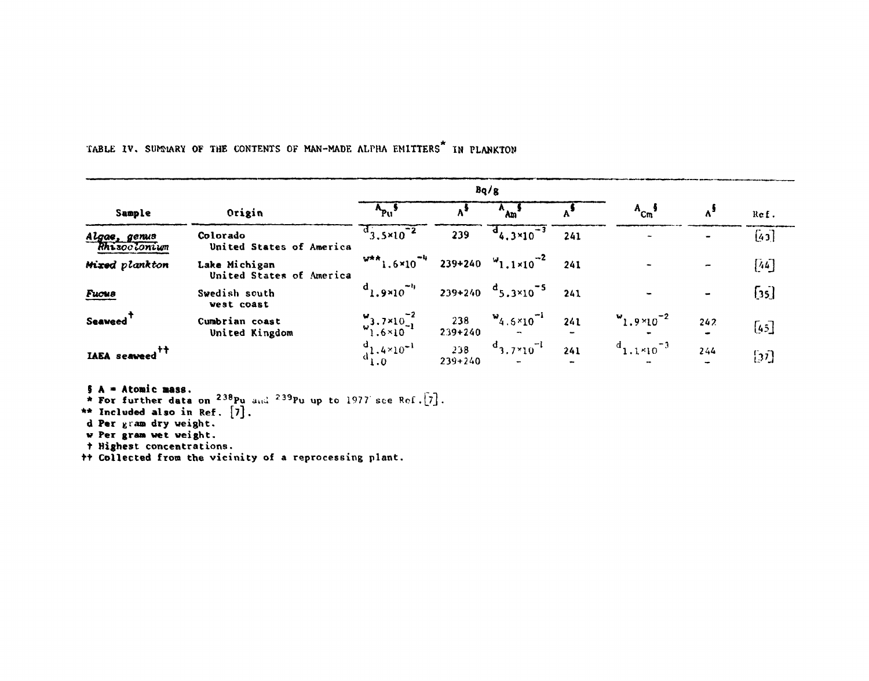|                              |                                           | Bq/g                                                                                |                    |                                           |     |                                 |                |                    |
|------------------------------|-------------------------------------------|-------------------------------------------------------------------------------------|--------------------|-------------------------------------------|-----|---------------------------------|----------------|--------------------|
| Sample                       | Origin                                    |                                                                                     |                    | $^{\prime\prime}$ Am                      |     | $A_{\text{Cm}}^{\qquad 5}$      |                | Ref.               |
| Algae, genus<br>Rhisocionium | Colorado<br>United States of America      | $d_{3,5} \times 10^{-2}$                                                            | 239                | $^d$ 4,3×10 <sup>-3</sup>                 | 241 |                                 | $\blacksquare$ | [43]               |
| Mixed plankton               | Lake Michigan<br>United States of America | $W^{**}$ 1.6×10 <sup>-4</sup> 239+240 $W_{1,1\times10}^{-2}$                        |                    |                                           | 241 |                                 | -              | $\left[ 44\right]$ |
| <b>Fucus</b>                 | Swedish south<br>west coast               | $d_{1.9\times10}$ <sup>-4</sup>                                                     |                    | $239+240$ $d_{5,3\times10}$ <sup>-5</sup> | 241 |                                 | $\rightarrow$  | [35]               |
| Seaweed <sup>1</sup>         | Cumbrian coast<br>United Kingdom          | $\begin{array}{c} \n\omega_3.7 \times 10^{-2} \\ \omega_1.6 \times 10\n\end{array}$ | $239 + 240$        | 238 $w_{4.5\times10}^{-1}$                | 241 | $v_{1.9 \times 10^{-2}}$        | 242            | [45]               |
| IAEA seaweed <sup>††</sup>   |                                           | $\frac{d}{dt}$ , 4×10 <sup>-1</sup>                                                 | 238<br>$239 + 240$ | $^{d}$ 3.7×10 <sup>-1</sup>               | 241 | $d_{1.1\times10}$ <sup>-3</sup> | 244            | [31]               |

TABLE IV. SUMMARY OF THE CONTENTS OF MAN-MADE ALPHA EMITTERS<sup>\*</sup> IN PLANKTON

**5 A = Atomic mass.**<br> **\* For further data on <sup>238</sup>Pu and <sup>239</sup>Pu up to 1977 see Ref.**  $\begin{bmatrix} 7 \end{bmatrix}$ .<br> **\*\* Included also in Ref.**  $\begin{bmatrix} 7 \end{bmatrix}$ .

d Per gram dry weight.

w Per gram wet weight.

+ Highest concentrations.

#+ Collected from the vicinity of a reprocessing plant.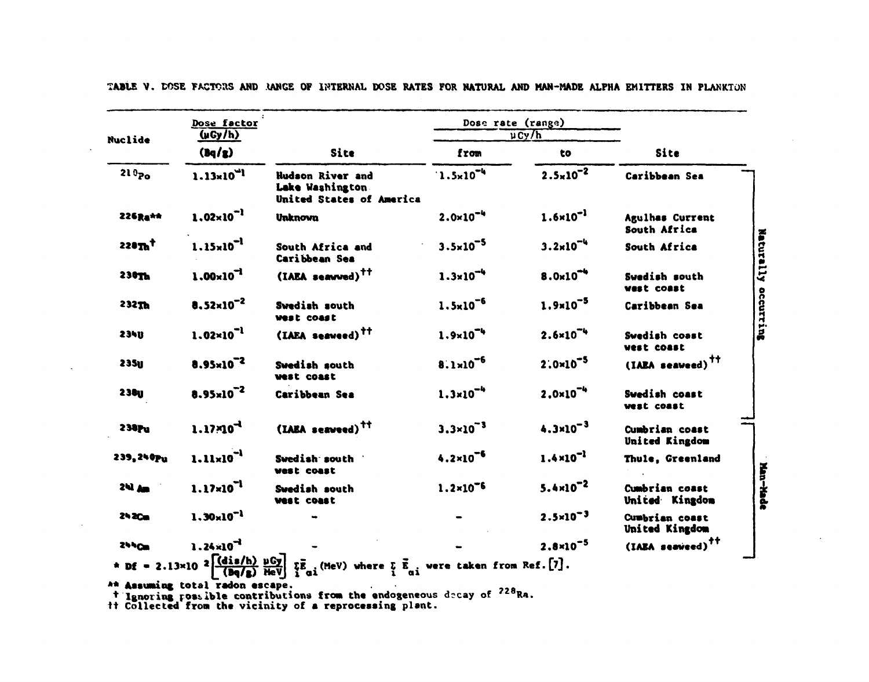|                            | Dose factor<br>(uGy/h)                                                           |                                                                 |                      | Dose rate (range)<br>$\mu$ Cy/h |                                  |
|----------------------------|----------------------------------------------------------------------------------|-----------------------------------------------------------------|----------------------|---------------------------------|----------------------------------|
| Nuclide                    | (bq/g)                                                                           | Site                                                            | from                 | to                              | Site                             |
| $210p_0$                   | $1.13 \times 10^{-1}$                                                            | Hudson River and<br>Lake Washington<br>United States of America | $1.5 \times 10^{-4}$ | $2.5 \times 10^{-2}$            | Caribbean Sea                    |
| 226Ra**                    | $1.02 \times 10^{-1}$                                                            | <b>Unknown</b>                                                  | $2.0 \times 10^{-4}$ | $1.6 \times 10^{-1}$            | Agulhas Current<br>South Africa  |
| 228 $\mathbf{n}^{\dagger}$ | $1.15 \times 10^{-1}$                                                            | South Africa and<br>Caribbean Sea                               | $3.5 \times 10^{-5}$ | $3.2 \times 10^{-4}$            | South Africa                     |
| 230Th                      | $1.00 \times 10^{-1}$                                                            | (IAEA seawwed) <sup>††</sup>                                    | $1.3 \times 10^{-4}$ | $8.0 \times 10^{-4}$            | Swedish south<br>west coast      |
| 232Th                      | $8.52 \times 10^{-2}$                                                            | Swedish south<br>west coast                                     | $1.5 \times 10^{-6}$ | $1.9 \times 10^{-5}$            | Caribbean Sea                    |
| 2348                       | $1.02 \times 10^{-1}$                                                            | (IAEA seaweed) <sup>††</sup>                                    | $1.9 \times 10^{-4}$ | $2.6 \times 10^{-4}$            | Swedish coast<br>west coast      |
| <b>235u</b>                | 8.95×10 <sup>-2</sup>                                                            | Swedish south<br>west coast                                     | $8.1 \times 10^{-6}$ | $2:0 \times 10^{-5}$            | (IAEA seaveed) <sup>††</sup>     |
| <b>238U</b>                | $8.95 \times 10^{-2}$                                                            | Caribbean Sea                                                   | $1.3 \times 10^{-4}$ | $2.0 \times 10^{-4}$            | Swedish coast<br>west coast      |
| 238Pu                      | $1.17 \times 10^{-1}$                                                            | (IABA seaveed) <sup>††</sup>                                    | $3.3 \times 10^{-3}$ | $4.3 \times 10^{-3}$            | Cumbrian coast<br>United Kingdom |
| 239, 240Pu                 | $1.11 \times 10^{-1}$                                                            | Swedish south<br>west coast                                     | $4.2 \times 10^{-6}$ | $1.4 \times 10^{-1}$            | Thule, Greenland                 |
| <b>241 Am</b>              | $1.17 \times 10^{-1}$                                                            | Swedish south<br><b>West coast</b>                              | $1.2 \times 10^{-6}$ | $5.4 \times 10^{-2}$            | Cumbrian coast<br>United Kingdom |
| 242Cm                      | $1.30 \times 10^{-1}$                                                            |                                                                 |                      | $2.5 \times 10^{-3}$            | Cumbrian coast<br>United Kingdom |
| <b>2440m</b>               | $1.24 \times 10^{-1}$<br>* Df = 2.13×10 $2 \frac{(\text{dis/h})}{(\text{Bq/g})}$ |                                                                 |                      | $2.8 \times 10^{-5}$            | (IABA seaveed) <sup>††</sup>     |

TABLE V. DOSE FACTORS AND RANGE OF INTERNAL DOSE RATES FOR NATURAL AND MAN-MADE ALPHA EMITTERS IN PLANKTON

 $\overline{a}$ 

At Assuming total radon escape.<br>
Tignoring possible contributions from the endogeneous decay of <sup>228</sup>Ra.<br>
It Collected from the vicinity of a reprocessing plant.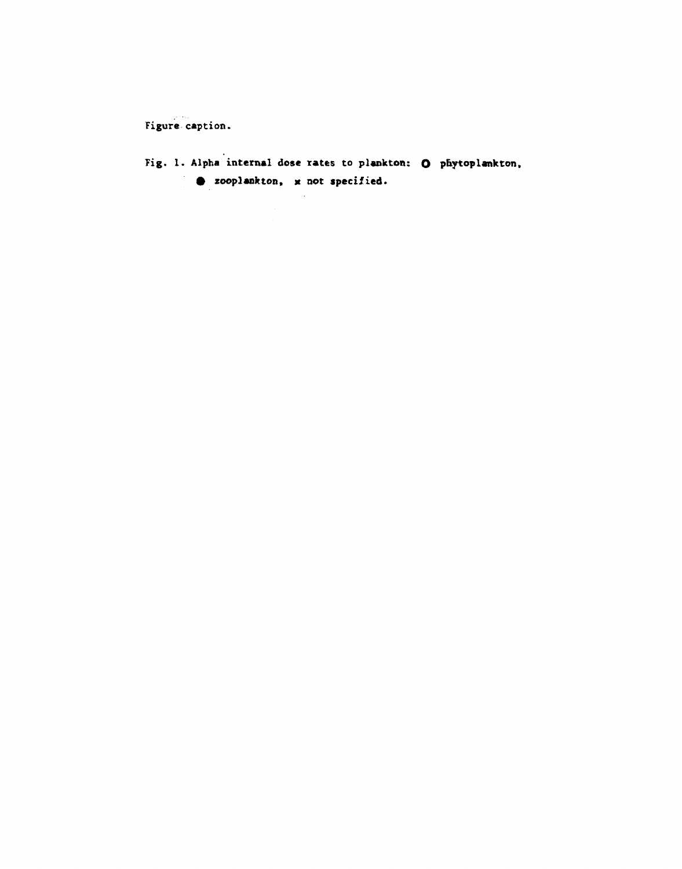**Figure caption.** 

Fig. 1. Alpha internal dose rates to plankton: O phytoplankton, *%* **zooplankton, x not specified.**